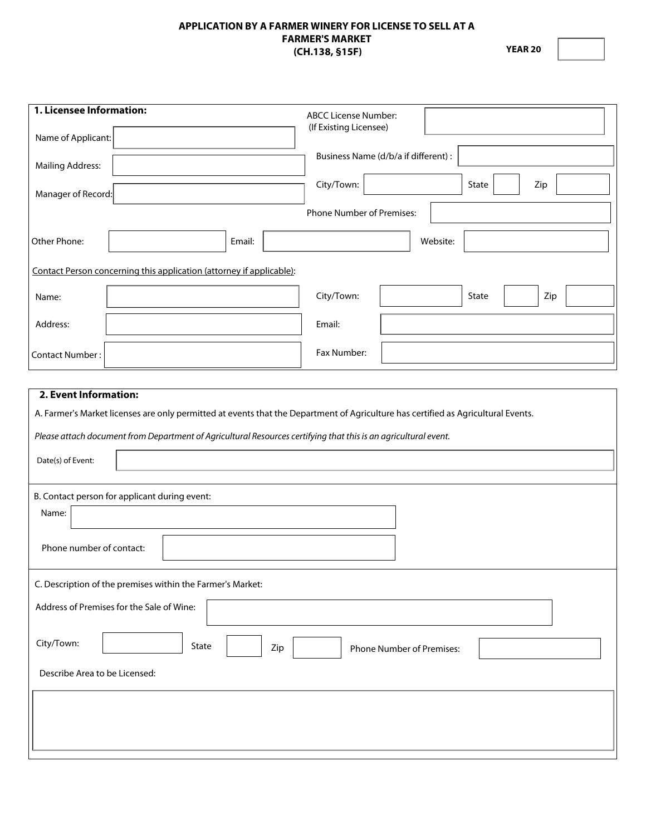#### **APPLICATION BY A FARMER WINERY FOR LICENSE TO SELL AT A FARMER'S MARKET (CH.138, §15F)**

**YEAR 20**

| 1. Licensee Information:<br>Name of Applicant:                                                                                                                                                                                                                                                                                                                                           | <b>ABCC License Number:</b><br>(If Existing Licensee) |
|------------------------------------------------------------------------------------------------------------------------------------------------------------------------------------------------------------------------------------------------------------------------------------------------------------------------------------------------------------------------------------------|-------------------------------------------------------|
| <b>Mailing Address:</b>                                                                                                                                                                                                                                                                                                                                                                  | Business Name (d/b/a if different) :                  |
| Manager of Record:                                                                                                                                                                                                                                                                                                                                                                       | City/Town:<br>State<br>Zip                            |
|                                                                                                                                                                                                                                                                                                                                                                                          | Phone Number of Premises:                             |
| Other Phone:<br>Email:                                                                                                                                                                                                                                                                                                                                                                   | Website:                                              |
| Contact Person concerning this application (attorney if applicable):                                                                                                                                                                                                                                                                                                                     |                                                       |
| Name:                                                                                                                                                                                                                                                                                                                                                                                    | City/Town:<br>State<br>Zip                            |
| Address:                                                                                                                                                                                                                                                                                                                                                                                 | Email:                                                |
| <b>Contact Number:</b>                                                                                                                                                                                                                                                                                                                                                                   | Fax Number:                                           |
| 2. Event Information:<br>A. Farmer's Market licenses are only permitted at events that the Department of Agriculture has certified as Agricultural Events.<br>Please attach document from Department of Agricultural Resources certifying that this is an agricultural event.<br>Date(s) of Event:<br>B. Contact person for applicant during event:<br>Name:<br>Phone number of contact: |                                                       |
| C. Description of the premises within the Farmer's Market:<br>Address of Premises for the Sale of Wine:<br>City/Town:<br>State<br>Zip                                                                                                                                                                                                                                                    | <b>Phone Number of Premises:</b>                      |
| Describe Area to be Licensed:                                                                                                                                                                                                                                                                                                                                                            |                                                       |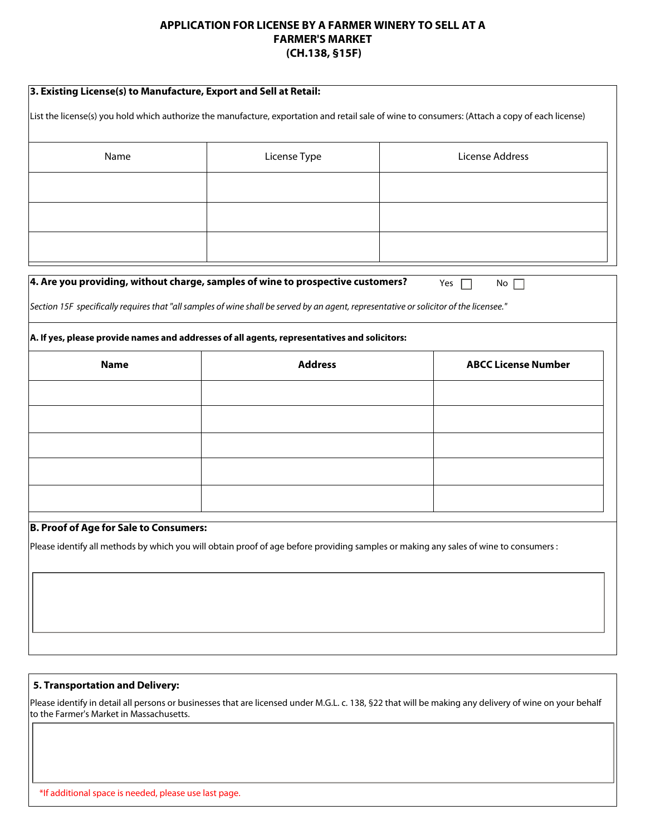### **APPLICATION FOR LICENSE BY A FARMER WINERY TO SELL AT A FARMER'S MARKET (CH.138, §15F)**

| 3. Existing License(s) to Manufacture, Export and Sell at Retail:<br>List the license(s) you hold which authorize the manufacture, exportation and retail sale of wine to consumers: (Attach a copy of each license) |                                                                                                                                        |  |                            |  |
|----------------------------------------------------------------------------------------------------------------------------------------------------------------------------------------------------------------------|----------------------------------------------------------------------------------------------------------------------------------------|--|----------------------------|--|
|                                                                                                                                                                                                                      |                                                                                                                                        |  |                            |  |
| Name                                                                                                                                                                                                                 | License Type                                                                                                                           |  | License Address            |  |
|                                                                                                                                                                                                                      |                                                                                                                                        |  |                            |  |
|                                                                                                                                                                                                                      |                                                                                                                                        |  |                            |  |
|                                                                                                                                                                                                                      |                                                                                                                                        |  |                            |  |
|                                                                                                                                                                                                                      | $\vert$ 4. Are you providing, without charge, samples of wine to prospective customers?                                                |  | Yes<br>$No \ \Box$         |  |
|                                                                                                                                                                                                                      | Section 15F specifically requires that "all samples of wine shall be served by an agent, representative or solicitor of the licensee." |  |                            |  |
|                                                                                                                                                                                                                      | A. If yes, please provide names and addresses of all agents, representatives and solicitors:                                           |  |                            |  |
| <b>Name</b>                                                                                                                                                                                                          | <b>Address</b>                                                                                                                         |  | <b>ABCC License Number</b> |  |
|                                                                                                                                                                                                                      |                                                                                                                                        |  |                            |  |
|                                                                                                                                                                                                                      |                                                                                                                                        |  |                            |  |
|                                                                                                                                                                                                                      |                                                                                                                                        |  |                            |  |
|                                                                                                                                                                                                                      |                                                                                                                                        |  |                            |  |
|                                                                                                                                                                                                                      |                                                                                                                                        |  |                            |  |
| <b>B. Proof of Age for Sale to Consumers:</b>                                                                                                                                                                        |                                                                                                                                        |  |                            |  |
|                                                                                                                                                                                                                      | Please identify all methods by which you will obtain proof of age before providing samples or making any sales of wine to consumers :  |  |                            |  |
|                                                                                                                                                                                                                      |                                                                                                                                        |  |                            |  |
|                                                                                                                                                                                                                      |                                                                                                                                        |  |                            |  |
|                                                                                                                                                                                                                      |                                                                                                                                        |  |                            |  |
|                                                                                                                                                                                                                      |                                                                                                                                        |  |                            |  |

#### **5. Transportation and Delivery:**

Please identify in detail all persons or businesses that are licensed under M.G.L. c. 138, §22 that will be making any delivery of wine on your behalf to the Farmer's Market in Massachusetts.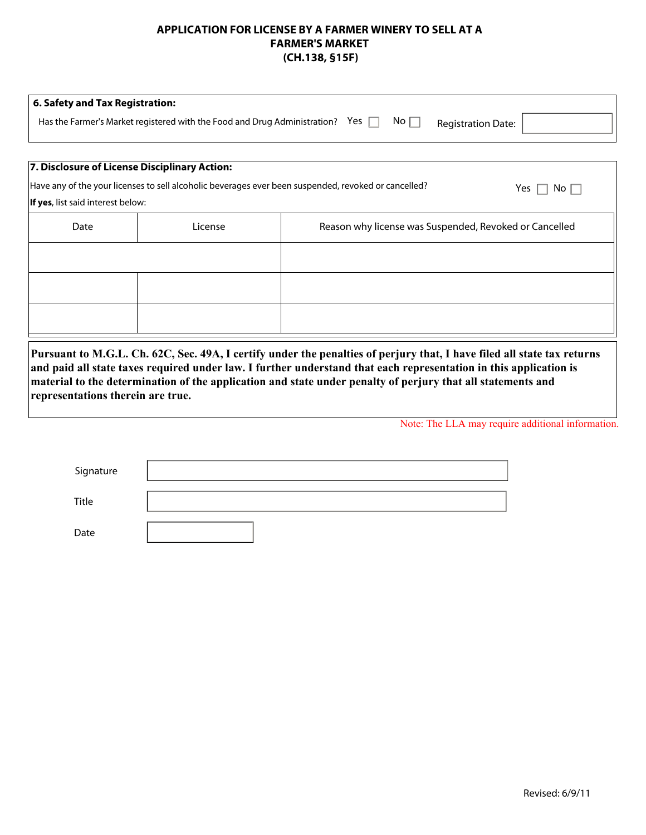### **APPLICATION FOR LICENSE BY A FARMER WINERY TO SELL AT A FARMER'S MARKET (CH.138, §15F)**

| 6. Safety and Tax Registration:                                                         |               |                           |  |
|-----------------------------------------------------------------------------------------|---------------|---------------------------|--|
| Yes $\Box$<br>Has the Farmer's Market registered with the Food and Drug Administration? | No $\lceil$ , | <b>Registration Date:</b> |  |
|                                                                                         |               |                           |  |

## **7. Disclosure of License Disciplinary Action:**

| If yes, list said interest below: |         | Have any of the your licenses to sell alcoholic beverages ever been suspended, revoked or cancelled?<br>Yes [<br>No |
|-----------------------------------|---------|---------------------------------------------------------------------------------------------------------------------|
| Date                              | License | Reason why license was Suspended, Revoked or Cancelled                                                              |
|                                   |         |                                                                                                                     |
|                                   |         |                                                                                                                     |
|                                   |         |                                                                                                                     |
|                                   |         |                                                                                                                     |

**Pursuant to M.G.L. Ch. 62C, Sec. 49A, I certify under the penalties of perjury that, I have filed all state tax returns and paid all state taxes required under law. I further understand that each representation in this application is material to the determination of the application and state under penalty of perjury that all statements and representations therein are true.** 

Note: The LLA may require additional information.

| Signature |  |
|-----------|--|
| Title     |  |
| Date      |  |